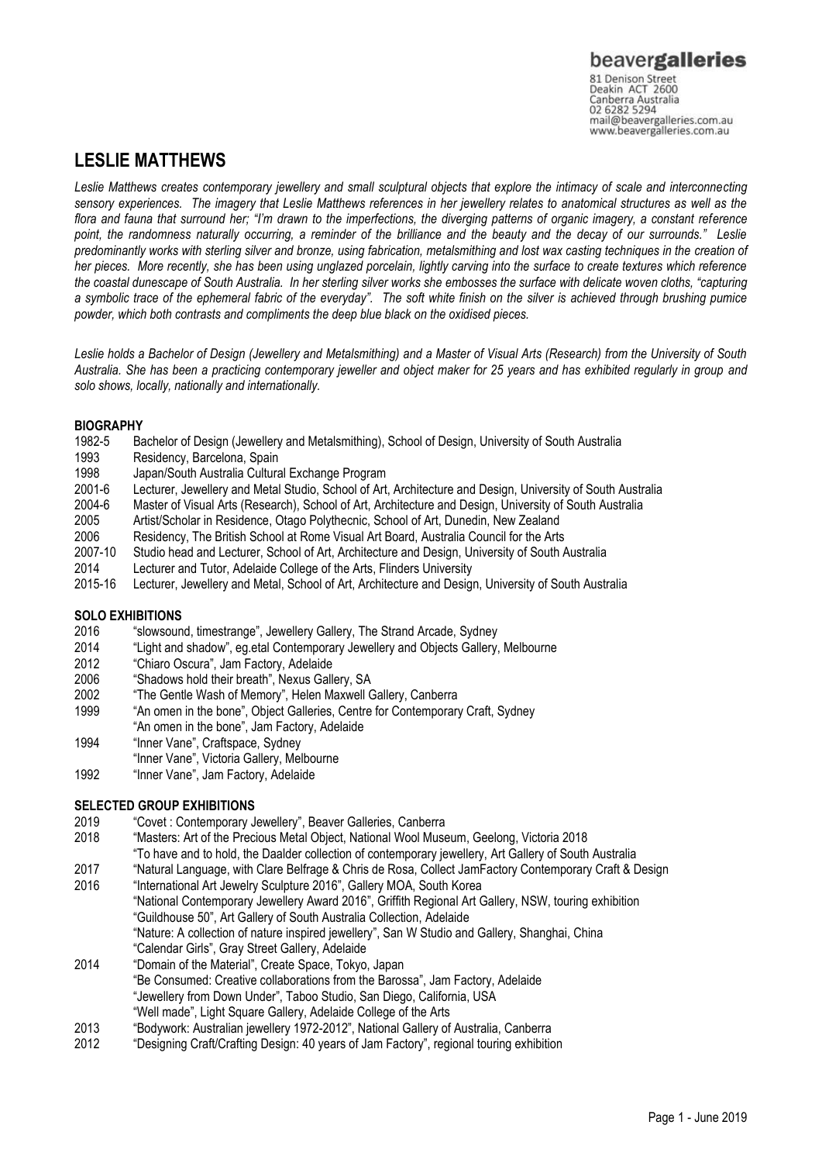# **LESLIE MATTHEWS**

*Leslie Matthews creates contemporary jewellery and small sculptural objects that explore the intimacy of scale and interconnecting sensory experiences. The imagery that Leslie Matthews references in her jewellery relates to anatomical structures as well as the flora and fauna that surround her; "I'm drawn to the imperfections, the diverging patterns of organic imagery, a constant reference point, the randomness naturally occurring, a reminder of the brilliance and the beauty and the decay of our surrounds." Leslie predominantly works with sterling silver and bronze, using fabrication, metalsmithing and lost wax casting techniques in the creation of her pieces. More recently, she has been using unglazed porcelain, lightly carving into the surface to create textures which reference the coastal dunescape of South Australia. In her sterling silver works she embosses the surface with delicate woven cloths, "capturing a symbolic trace of the ephemeral fabric of the everyday". The soft white finish on the silver is achieved through brushing pumice powder, which both contrasts and compliments the deep blue black on the oxidised pieces.* 

*Leslie holds a Bachelor of Design (Jewellery and Metalsmithing) and a Master of Visual Arts (Research) from the University of South Australia. She has been a practicing contemporary jeweller and object maker for 25 years and has exhibited regularly in group and solo shows, locally, nationally and internationally.*

# **BIOGRAPHY**

- 1982-5 Bachelor of Design (Jewellery and Metalsmithing), School of Design, University of South Australia
- 1993 Residency, Barcelona, Spain
- 1998 Japan/South Australia Cultural Exchange Program
- 2001-6 Lecturer, Jewellery and Metal Studio, School of Art, Architecture and Design, University of South Australia<br>2004-6 Master of Visual Arts (Research), School of Art, Architecture and Design, University of South Austra
- 2004-6 Master of Visual Arts (Research), School of Art, Architecture and Design, University of South Australia<br>2005 Artist/Scholar in Residence, Otago Polythecnic, School of Art, Dunedin, New Zealand
- 2005 Artist/Scholar in Residence, Otago Polythecnic, School of Art, Dunedin, New Zealand
- 2006 Residency, The British School at Rome Visual Art Board, Australia Council for the Arts
- Studio head and Lecturer, School of Art, Architecture and Design, University of South Australia
- 2014 Lecturer and Tutor, Adelaide College of the Arts, Flinders University
- 2015-16 Lecturer, Jewellery and Metal, School of Art, Architecture and Design, University of South Australia

# **SOLO EXHIBITIONS**

- 2016 "slowsound, timestrange", Jewellery Gallery, The Strand Arcade, Sydney
- 2014 "Light and shadow", eg.etal Contemporary Jewellery and Objects Gallery, Melbourne<br>2012 "Chiaro Oscura", Jam Factory, Adelaide
- "Chiaro Oscura", Jam Factory, Adelaide
- 2006 "Shadows hold their breath", Nexus Gallery, SA
- 2002 "The Gentle Wash of Memory", Helen Maxwell Gallery, Canberra
- 1999 "An omen in the bone", Object Galleries, Centre for Contemporary Craft, Sydney
- "An omen in the bone", Jam Factory, Adelaide
- 1994 "Inner Vane", Craftspace, Sydney
- "Inner Vane", Victoria Gallery, Melbourne
- 1992 "Inner Vane", Jam Factory, Adelaide

# **SELECTED GROUP EXHIBITIONS**

- 2019 "Covet : Contemporary Jewellery", Beaver Galleries, Canberra
- 2018 "Masters: Art of the Precious Metal Object, National Wool Museum, Geelong, Victoria 2018
- "To have and to hold, the Daalder collection of contemporary jewellery, Art Gallery of South Australia
- 
- 2017 "Natural Language, with Clare Belfrage & Chris de Rosa, Collect JamFactory Contemporary Craft & Design<br>2016 "International Art Jewelry Sculpture 2016", Gallery MOA, South Korea "International Art Jewelry Sculpture 2016", Gallery MOA, South Korea "National Contemporary Jewellery Award 2016", Griffith Regional Art Gallery, NSW, touring exhibition "Guildhouse 50", Art Gallery of South Australia Collection, Adelaide "Nature: A collection of nature inspired jewellery", San W Studio and Gallery, Shanghai, China
- "Calendar Girls", Gray Street Gallery, Adelaide
- 2014 "Domain of the Material", Create Space, Tokyo, Japan "Be Consumed: Creative collaborations from the Barossa", Jam Factory, Adelaide "Jewellery from Down Under", Taboo Studio, San Diego, California, USA "Well made", Light Square Gallery, Adelaide College of the Arts
- 2013 "Bodywork: Australian jewellery 1972-2012", National Gallery of Australia, Canberra
- 2012 "Designing Craft/Crafting Design: 40 years of Jam Factory", regional touring exhibition